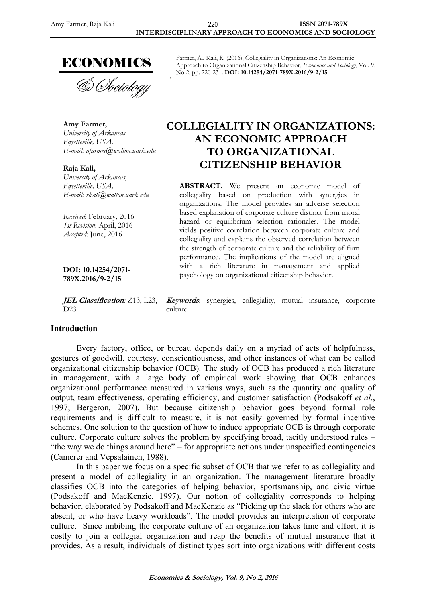

**Amy Farmer,** *University of Arkansas, Fayetteville, USA, E-mail: afarmer@walton.uark.edu*

**Raja Kali,** *University of Arkansas, Fayetteville, USA, E-mail: rkali@walton.uark.edu*

*Received*: February, 2016 *1st Revision*: April, 2016 *Accepted*: June, 2016

**DOI: 10.14254/2071- 789X.2016/9-2/15**

D<sub>23</sub>

# **Introduction**

Every factory, office, or bureau depends daily on a myriad of acts of helpfulness, gestures of goodwill, courtesy, conscientiousness, and other instances of what can be called organizational citizenship behavior (OCB). The study of OCB has produced a rich literature in management, with a large body of empirical work showing that OCB enhances organizational performance measured in various ways, such as the quantity and quality of output, team effectiveness, operating efficiency, and customer satisfaction (Podsakoff *et al.*, 1997; Bergeron, 2007). But because citizenship behavior goes beyond formal role requirements and is difficult to measure, it is not easily governed by formal incentive schemes. One solution to the question of how to induce appropriate OCB is through corporate culture. Corporate culture solves the problem by specifying broad, tacitly understood rules – "the way we do things around here" – for appropriate actions under unspecified contingencies (Camerer and Vepsalainen, 1988).

In this paper we focus on a specific subset of OCB that we refer to as collegiality and present a model of collegiality in an organization. The management literature broadly classifies OCB into the categories of helping behavior, sportsmanship, and civic virtue (Podsakoff and MacKenzie, 1997). Our notion of collegiality corresponds to helping behavior, elaborated by Podsakoff and MacKenzie as "Picking up the slack for others who are absent, or who have heavy workloads". The model provides an interpretation of corporate culture. Since imbibing the corporate culture of an organization takes time and effort, it is costly to join a collegial organization and reap the benefits of mutual insurance that it provides. As a result, individuals of distinct types sort into organizations with different costs

Farmer, A., Kali, R. (2016), Collegiality in Organizations: An Economic Approach to Organizational Citizenship Behavior, *Economics and Sociology*, Vol. 9, No 2, pp. 220-231. **DOI: 10.14254/2071-789X.2016/9-2/15**

# **COLLEGIALITY IN ORGANIZATIONS: AN ECONOMIC APPROACH TO ORGANIZATIONAL CITIZENSHIP BEHAVIOR**

**ABSTRACT.** We present an economic model of collegiality based on production with synergies in organizations. The model provides an adverse selection based explanation of corporate culture distinct from moral hazard or equilibrium selection rationales. The model yields positive correlation between corporate culture and collegiality and explains the observed correlation between the strength of corporate culture and the reliability of firm performance. The implications of the model are aligned with a rich literature in management and applied psychology on organizational citizenship behavior.

**JEL Classification***:* Z13, L23, **Keywords**: synergies, collegiality, mutual insurance, corporate culture.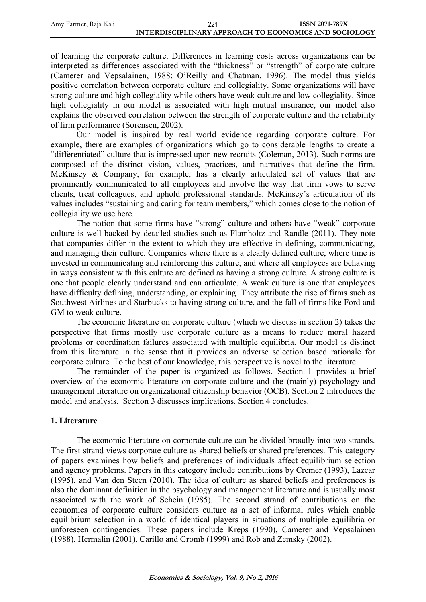| Amy Farmer, Raja Kali | ົດດາ                                                          | <b>ISSN 2071-789X</b> |
|-----------------------|---------------------------------------------------------------|-----------------------|
|                       | IN THERE IS COUNT IN THE LABRA LOTE HA RAGNION (100 LAID COOL |                       |

of learning the corporate culture. Differences in learning costs across organizations can be interpreted as differences associated with the "thickness" or "strength" of corporate culture (Camerer and Vepsalainen, 1988; O"Reilly and Chatman, 1996). The model thus yields positive correlation between corporate culture and collegiality. Some organizations will have strong culture and high collegiality while others have weak culture and low collegiality. Since high collegiality in our model is associated with high mutual insurance, our model also explains the observed correlation between the strength of corporate culture and the reliability of firm performance (Sorensen, 2002).

Our model is inspired by real world evidence regarding corporate culture. For example, there are examples of organizations which go to considerable lengths to create a "differentiated" culture that is impressed upon new recruits (Coleman, 2013). Such norms are composed of the distinct vision, values, practices, and narratives that define the firm. McKinsey & Company, for example, has a clearly articulated set of values that are prominently communicated to all employees and involve the way that firm vows to serve clients, treat colleagues, and uphold professional standards. McKinsey"s articulation of its values includes "sustaining and caring for team members," which comes close to the notion of collegiality we use here.

The notion that some firms have "strong" culture and others have "weak" corporate culture is well-backed by detailed studies such as Flamholtz and Randle (2011). They note that companies differ in the extent to which they are effective in defining, communicating, and managing their culture. Companies where there is a clearly defined culture, where time is invested in communicating and reinforcing this culture, and where all employees are behaving in ways consistent with this culture are defined as having a strong culture. A strong culture is one that people clearly understand and can articulate. A weak culture is one that employees have difficulty defining, understanding, or explaining. They attribute the rise of firms such as Southwest Airlines and Starbucks to having strong culture, and the fall of firms like Ford and GM to weak culture.

The economic literature on corporate culture (which we discuss in section 2) takes the perspective that firms mostly use corporate culture as a means to reduce moral hazard problems or coordination failures associated with multiple equilibria. Our model is distinct from this literature in the sense that it provides an adverse selection based rationale for corporate culture. To the best of our knowledge, this perspective is novel to the literature.

The remainder of the paper is organized as follows. Section 1 provides a brief overview of the economic literature on corporate culture and the (mainly) psychology and management literature on organizational citizenship behavior (OCB). Section 2 introduces the model and analysis. Section 3 discusses implications. Section 4 concludes.

# **1. Literature**

The economic literature on corporate culture can be divided broadly into two strands. The first strand views corporate culture as shared beliefs or shared preferences. This category of papers examines how beliefs and preferences of individuals affect equilibrium selection and agency problems. Papers in this category include contributions by Cremer (1993), Lazear (1995), and Van den Steen (2010). The idea of culture as shared beliefs and preferences is also the dominant definition in the psychology and management literature and is usually most associated with the work of Schein (1985). The second strand of contributions on the economics of corporate culture considers culture as a set of informal rules which enable equilibrium selection in a world of identical players in situations of multiple equilibria or unforeseen contingencies. These papers include Kreps (1990), Camerer and Vepsalainen (1988), Hermalin (2001), Carillo and Gromb (1999) and Rob and Zemsky (2002).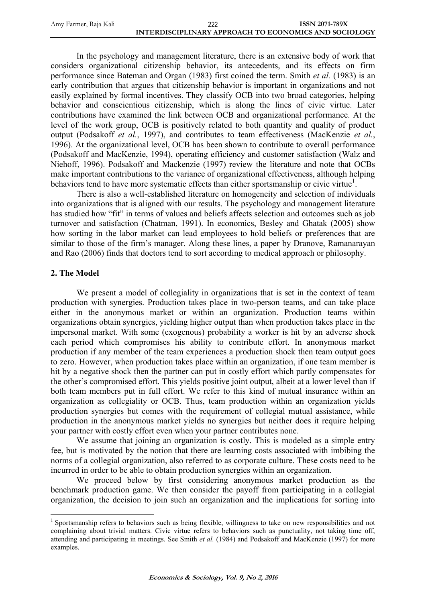| Amy Farmer, Raja Kali | 222                                                   | <b>ISSN 2071-789X</b> |
|-----------------------|-------------------------------------------------------|-----------------------|
|                       | INTERDISCIPLINARY APPROACH TO ECONOMICS AND SOCIOLOGY |                       |

In the psychology and management literature, there is an extensive body of work that considers organizational citizenship behavior, its antecedents, and its effects on firm performance since Bateman and Organ (1983) first coined the term. Smith *et al.* (1983) is an early contribution that argues that citizenship behavior is important in organizations and not easily explained by formal incentives. They classify OCB into two broad categories, helping behavior and conscientious citizenship, which is along the lines of civic virtue. Later contributions have examined the link between OCB and organizational performance. At the level of the work group, OCB is positively related to both quantity and quality of product output (Podsakoff *et al.*, 1997), and contributes to team effectiveness (MacKenzie *et al.*, 1996). At the organizational level, OCB has been shown to contribute to overall performance (Podsakoff and MacKenzie, 1994), operating efficiency and customer satisfaction (Walz and Niehoff, 1996). Podsakoff and Mackenzie (1997) review the literature and note that OCBs make important contributions to the variance of organizational effectiveness, although helping behaviors tend to have more systematic effects than either sportsmanship or civic virtue<sup>1</sup>.

There is also a well-established literature on homogeneity and selection of individuals into organizations that is aligned with our results. The psychology and management literature has studied how "fit" in terms of values and beliefs affects selection and outcomes such as job turnover and satisfaction (Chatman, 1991). In economics, Besley and Ghatak (2005) show how sorting in the labor market can lead employees to hold beliefs or preferences that are similar to those of the firm"s manager. Along these lines, a paper by Dranove, Ramanarayan and Rao (2006) finds that doctors tend to sort according to medical approach or philosophy.

#### **2. The Model**

<u>.</u>

We present a model of collegiality in organizations that is set in the context of team production with synergies. Production takes place in two-person teams, and can take place either in the anonymous market or within an organization. Production teams within organizations obtain synergies, yielding higher output than when production takes place in the impersonal market. With some (exogenous) probability a worker is hit by an adverse shock each period which compromises his ability to contribute effort. In anonymous market production if any member of the team experiences a production shock then team output goes to zero. However, when production takes place within an organization, if one team member is hit by a negative shock then the partner can put in costly effort which partly compensates for the other"s compromised effort. This yields positive joint output, albeit at a lower level than if both team members put in full effort. We refer to this kind of mutual insurance within an organization as collegiality or OCB. Thus, team production within an organization yields production synergies but comes with the requirement of collegial mutual assistance, while production in the anonymous market yields no synergies but neither does it require helping your partner with costly effort even when your partner contributes none.

We assume that joining an organization is costly. This is modeled as a simple entry fee, but is motivated by the notion that there are learning costs associated with imbibing the norms of a collegial organization, also referred to as corporate culture. These costs need to be incurred in order to be able to obtain production synergies within an organization.

We proceed below by first considering anonymous market production as the benchmark production game. We then consider the payoff from participating in a collegial organization, the decision to join such an organization and the implications for sorting into

<sup>&</sup>lt;sup>1</sup> Sportsmanship refers to behaviors such as being flexible, willingness to take on new responsibilities and not complaining about trivial matters. Civic virtue refers to behaviors such as punctuality, not taking time off, attending and participating in meetings. See Smith *et al.* (1984) and Podsakoff and MacKenzie (1997) for more examples.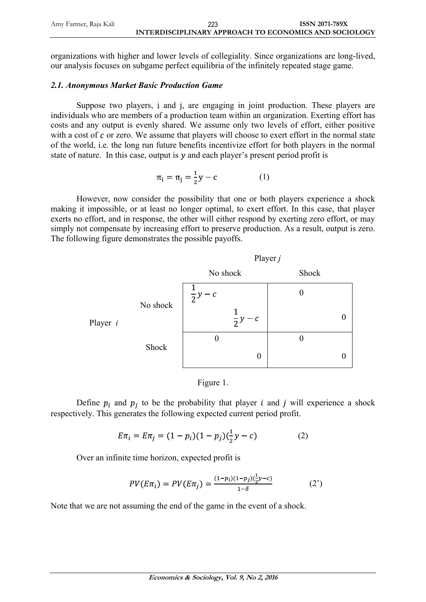| Amy Farmer, Raja Kali | 223                                                   | <b>ISSN 2071-789X</b> |
|-----------------------|-------------------------------------------------------|-----------------------|
|                       | INTERDISCIPLINARY APPROACH TO ECONOMICS AND SOCIOLOGY |                       |

organizations with higher and lower levels of collegiality. Since organizations are long-lived, our analysis focuses on subgame perfect equilibria of the infinitely repeated stage game.

#### *2.1. Anonymous Market Basic Production Game*

Suppose two players, i and j, are engaging in joint production. These players are individuals who are members of a production team within an organization. Exerting effort has costs and any output is evenly shared. We assume only two levels of effort, either positive with a cost of  $c$  or zero. We assume that players will choose to exert effort in the normal state of the world, i.e. the long run future benefits incentivize effort for both players in the normal state of nature. In this case, output is  $y$  and each player's present period profit is

$$
\pi_i = \pi_j = \frac{1}{2}y - c \tag{1}
$$

However, now consider the possibility that one or both players experience a shock making it impossible, or at least no longer optimal, to exert effort. In this case, that player exerts no effort, and in response, the other will either respond by exerting zero effort, or may simply not compensate by increasing effort to preserve production. As a result, output is zero. The following figure demonstrates the possible payoffs.





Define  $p_i$  and  $p_j$  to be the probability that player i and j will experience a shock respectively. This generates the following expected current period profit.

$$
E\pi_i = E\pi_j = (1 - p_i)(1 - p_j)(\frac{1}{2}y - c)
$$
 (2)

Over an infinite time horizon, expected profit is

$$
PV(E\pi_i) = PV(E\pi_j) = \frac{(1 - p_i)(1 - p_j)(\frac{1}{2}y - c)}{1 - \delta} \tag{2'}
$$

Note that we are not assuming the end of the game in the event of a shock.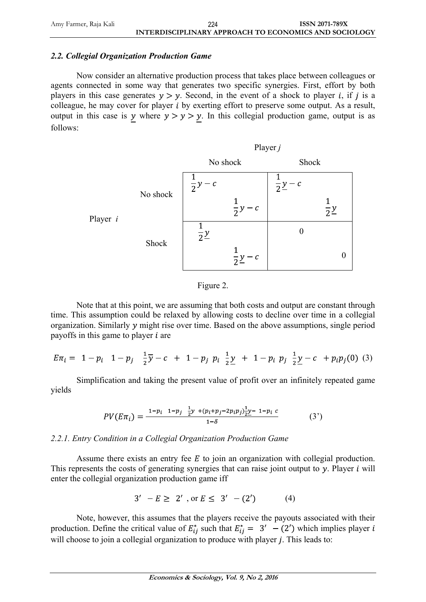## *2.2. Collegial Organization Production Game*

Now consider an alternative production process that takes place between colleagues or agents connected in some way that generates two specific synergies. First, effort by both players in this case generates  $y > y$ . Second, in the event of a shock to player *i*, if *j* is a colleague, he may cover for player  $i$  by exerting effort to preserve some output. As a result, output in this case is y where  $y > y > y$ . In this collegial production game, output is as follows:



#### Figure 2.

Note that at this point, we are assuming that both costs and output are constant through time. This assumption could be relaxed by allowing costs to decline over time in a collegial organization. Similarly  $\nu$  might rise over time. Based on the above assumptions, single period payoffs in this game to player  $i$  are

$$
E\pi_i = 1 - p_i \quad 1 - p_j \quad \frac{1}{2}\overline{y} - c + 1 - p_j \quad p_i \quad \frac{1}{2}\underline{y} + 1 - p_i \quad p_j \quad \frac{1}{2}\underline{y} - c + p_i p_j(0) \tag{3}
$$

Simplification and taking the present value of profit over an infinitely repeated game yields

$$
PV(E\pi_i) = \frac{1 - p_i \left(1 - p_j \right)}{1 - \delta} \frac{\frac{1}{2}y + (p_i + p_j - 2p_i p_j) \frac{1}{2}y - 1 - p_i c}{1 - \delta} \tag{3'}
$$

## *2.2.1. Entry Condition in a Collegial Organization Production Game*

Assume there exists an entry fee  $E$  to join an organization with collegial production. This represents the costs of generating synergies that can raise joint output to  $\gamma$ . Player i will enter the collegial organization production game iff

$$
3' - E \ge 2' , \text{ or } E \le 3' - (2') \tag{4}
$$

Note, however, this assumes that the players receive the payouts associated with their production. Define the critical value of  $E_{ij}^*$  such that  $E_{ij}^* = 3' - (2')$  which implies player i will choose to join a collegial organization to produce with player  $j$ . This leads to: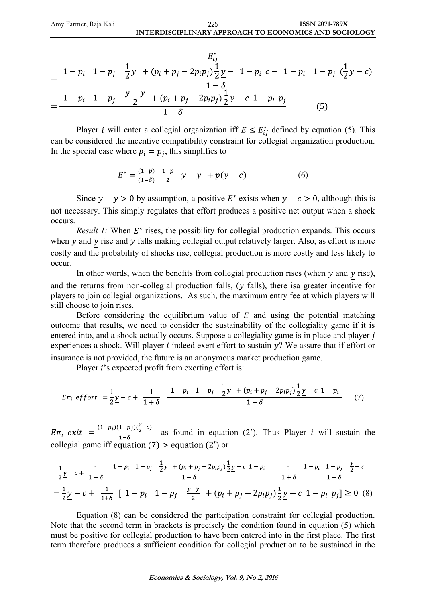$$
E_{ij}^{*}
$$
\n
$$
= \frac{1 - p_i \quad 1 - p_j \quad \frac{1}{2}y + (p_i + p_j - 2p_i p_j) \frac{1}{2}y - 1 - p_i \quad c - 1 - p_i \quad 1 - p_j \quad (\frac{1}{2}y - c)}{1 - \delta}
$$
\n
$$
= \frac{1 - p_i \quad 1 - p_j \quad \frac{y - y}{2} + (p_i + p_j - 2p_i p_j) \frac{1}{2}y - c \quad 1 - p_i \quad p_j}{1 - \delta} \tag{5}
$$

Player *i* will enter a collegial organization iff  $E \leq E_{ij}^*$  defined by equation (5). This can be considered the incentive compatibility constraint for collegial organization production. In the special case where  $p_i = p_i$ , this simplifies to

$$
E^* = \frac{(1-p)}{(1-\delta)} \frac{1-p}{2} \quad y - y + p(\underline{y} - c) \tag{6}
$$

Since  $y - y > 0$  by assumption, a positive  $E^*$  exists when  $y - c > 0$ , although this is not necessary. This simply regulates that effort produces a positive net output when a shock occurs.

*Result 1:* When  $E^*$  rises, the possibility for collegial production expands. This occurs when  $y$  and  $y$  rise and  $y$  falls making collegial output relatively larger. Also, as effort is more costly and the probability of shocks rise, collegial production is more costly and less likely to occur.

In other words, when the benefits from collegial production rises (when  $y$  and  $y$  rise), and the returns from non-collegial production falls,  $(y$  falls), there is agreater incentive for players to join collegial organizations. As such, the maximum entry fee at which players will still choose to join rises.

Before considering the equilibrium value of  $E$  and using the potential matching outcome that results, we need to consider the sustainability of the collegiality game if it is entered into, and a shock actually occurs. Suppose a collegiality game is in place and player j experiences a shock. Will player  $i$  indeed exert effort to sustain  $y$ ? We assure that if effort or insurance is not provided, the future is an anonymous market production game.

Player  $i$ 's expected profit from exerting effort is:

$$
E\pi_i \; \text{effort} \; = \frac{1}{2}\underline{y} - c + \frac{1}{1+\delta} \quad \frac{1-p_i}{1+\delta} \; \frac{1-p_i}{1-\delta} \; \frac{1}{2}y + (p_i + p_j - 2p_i p_j) \frac{1}{2}\underline{y} - c \; 1-p_i}{1-\delta} \tag{7}
$$

 $E\pi_i$  exit  $=\frac{(1-p_i)(1-p_j)(\frac{y}{2}-c)}{1-\delta}$  as found in equation (2'). Thus Player *i* will sustain the collegial game iff equation (7)  $>$  equation (2') or

$$
\frac{1}{2}\underline{y} - c + \frac{1}{1+\delta} \frac{1 - p_i}{1 - p_j} \frac{1 - p_j}{2} \frac{1}{2} \underline{y} + (p_i + p_j - 2p_i p_j) \frac{1}{2} \underline{y} - c \frac{1 - p_i}{1+\delta} - \frac{1}{1+\delta} \frac{1 - p_i}{1 - \delta}
$$
\n
$$
= \frac{1}{2}\underline{y} - c + \frac{1}{1+\delta} \left[1 - p_i \left(1 - p_j \frac{\underline{y} - \underline{y}}{2} + (p_i + p_j - 2p_i p_j) \frac{1}{2} \underline{y} - c \frac{1 - p_i}{1 - p_i} p_j\right] \ge 0 \quad (8)
$$

Equation (8) can be considered the participation constraint for collegial production. Note that the second term in brackets is precisely the condition found in equation (5) which must be positive for collegial production to have been entered into in the first place. The first term therefore produces a sufficient condition for collegial production to be sustained in the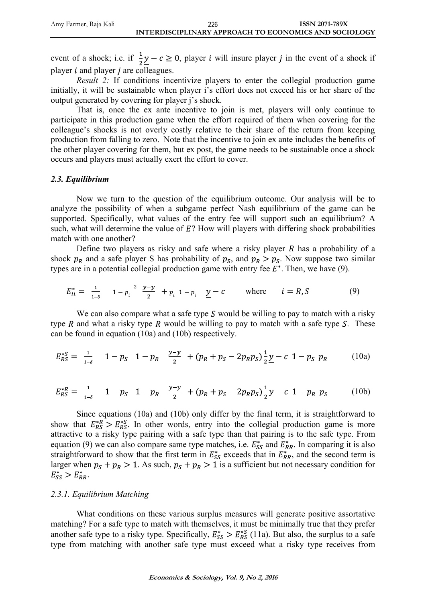event of a shock; i.e. if  $\frac{1}{2}y - c \ge 0$ , player i will insure player j in the event of a shock if player  $i$  and player  $j$  are colleagues.

*Result 2:* If conditions incentivize players to enter the collegial production game initially, it will be sustainable when player i's effort does not exceed his or her share of the output generated by covering for player j"s shock.

That is, once the ex ante incentive to join is met, players will only continue to participate in this production game when the effort required of them when covering for the colleague"s shocks is not overly costly relative to their share of the return from keeping production from falling to zero. Note that the incentive to join ex ante includes the benefits of the other player covering for them, but ex post, the game needs to be sustainable once a shock occurs and players must actually exert the effort to cover.

#### *2.3. Equilibrium*

Now we turn to the question of the equilibrium outcome. Our analysis will be to analyze the possibility of when a subgame perfect Nash equilibrium of the game can be supported. Specifically, what values of the entry fee will support such an equilibrium? A such, what will determine the value of  $E$ ? How will players with differing shock probabilities match with one another?

Define two players as risky and safe where a risky player  $R$  has a probability of a shock  $p_R$  and a safe player S has probability of  $p_S$ , and  $p_R > p_S$ . Now suppose two similar types are in a potential collegial production game with entry fee  $E^*$ . Then, we have (9).

$$
E_{ii}^* = \frac{1}{1-\delta} \quad 1 - p_i^2 \frac{y-y}{2} + p_i \quad 1 - p_i \quad \underline{y} - c \quad \text{where} \quad i = R, S \tag{9}
$$

We can also compare what a safe type  $S$  would be willing to pay to match with a risky type  $R$  and what a risky type  $R$  would be willing to pay to match with a safe type  $S$ . These can be found in equation (10a) and (10b) respectively.

$$
E_{RS}^{*S} = \frac{1}{1-\delta} \quad 1 - p_S \quad 1 - p_R \quad \frac{y-y}{2} \quad + (p_R + p_S - 2p_R p_S) \frac{1}{2} \underline{y} - c \quad 1 - p_S \quad p_R \tag{10a}
$$

$$
E_{RS}^{*R} = \frac{1}{1-\delta} \quad 1 - p_S \quad 1 - p_R \quad \frac{y - y}{2} \quad + (p_R + p_S - 2p_R p_S) \frac{1}{2} \underline{y} - c \quad 1 - p_R \quad p_S \tag{10b}
$$

Since equations (10a) and (10b) only differ by the final term, it is straightforward to show that  $E_{RS}^{*R} > E_{RS}^{*S}$ . In other words, entry into the collegial production game is more attractive to a risky type pairing with a safe type than that pairing is to the safe type. From equation (9) we can also compare same type matches, i.e.  $E_{SS}^{*}$  and  $E_{RR}^{*}$ . In comparing it is also straightforward to show that the first term in  $E_{SS}^*$  exceeds that in  $E_{RR}^*$ , and the second term is larger when  $p_S + p_R > 1$ . As such,  $p_S + p_R > 1$  is a sufficient but not necessary condition for  $E_{SS}^* > E_{RR}^*$ .

#### *2.3.1. Equilibrium Matching*

What conditions on these various surplus measures will generate positive assortative matching? For a safe type to match with themselves, it must be minimally true that they prefer another safe type to a risky type. Specifically,  $E_{SS}^* > E_{RS}^{*S}$  (11a). But also, the surplus to a safe type from matching with another safe type must exceed what a risky type receives from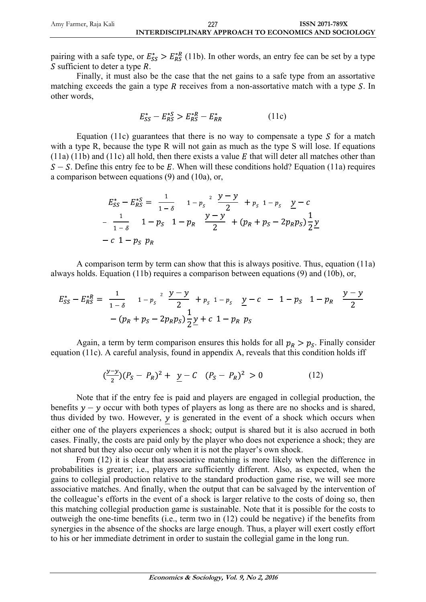pairing with a safe type, or  $E_{SS}^* > E_{RS}^{*R}$  (11b). In other words, an entry fee can be set by a type S sufficient to deter a type  $R$ .

Finally, it must also be the case that the net gains to a safe type from an assortative matching exceeds the gain a type  $R$  receives from a non-assortative match with a type  $S$ . In other words,

$$
E_{SS}^* - E_{RS}^{*S} > E_{RS}^{*R} - E_{RR}^* \tag{11c}
$$

Equation (11c) guarantees that there is no way to compensate a type  $S$  for a match with a type R, because the type R will not gain as much as the type S will lose. If equations (11a) (11b) and (11c) all hold, then there exists a value  $E$  that will deter all matches other than  $S - S$ . Define this entry fee to be E. When will these conditions hold? Equation (11a) requires a comparison between equations (9) and (10a), or,

$$
E_{SS}^{*} - E_{RS}^{*S} = \frac{1}{1 - \delta} \quad 1 - p_{S}^{2} \quad \frac{y - y}{2} + p_{S}^{2} \quad 1 - p_{S}^{2} \quad \frac{y - c}{2}
$$

$$
- \frac{1}{1 - \delta} \quad 1 - p_{S}^{2} \quad 1 - p_{R}^{2} \quad \frac{y - y}{2} + (p_{R} + p_{S} - 2p_{R}p_{S}) \frac{1}{2} \frac{y - c}{2}
$$

$$
- c \quad 1 - p_{S}^{2} \quad p_{R}
$$

A comparison term by term can show that this is always positive. Thus, equation (11a) always holds. Equation (11b) requires a comparison between equations (9) and (10b), or,

$$
E_{SS}^* - E_{RS}^{*R} = \frac{1}{1-\delta} \quad 1 - p_S^2 \quad \frac{y-y}{2} + p_S^2 \quad 1 - p_S \quad \frac{y-c}{2} - 1 - p_S \quad 1 - p_R \quad \frac{y-y}{2}
$$

$$
- (p_R + p_S - 2p_R p_S) \frac{1}{2} \frac{y}{2} + c \quad 1 - p_R \quad p_S
$$

Again, a term by term comparison ensures this holds for all  $p_R > p_S$ . Finally consider equation (11c). A careful analysis, found in appendix A, reveals that this condition holds iff

$$
\left(\frac{y-y}{2}\right)(P_S - P_R)^2 + \underline{y} - C \quad (P_S - P_R)^2 > 0 \tag{12}
$$

Note that if the entry fee is paid and players are engaged in collegial production, the benefits  $y - y$  occur with both types of players as long as there are no shocks and is shared, thus divided by two. However,  $y$  is generated in the event of a shock which occurs when either one of the players experiences a shock; output is shared but it is also accrued in both cases. Finally, the costs are paid only by the player who does not experience a shock; they are not shared but they also occur only when it is not the player"s own shock.

From (12) it is clear that associative matching is more likely when the difference in probabilities is greater; i.e., players are sufficiently different. Also, as expected, when the gains to collegial production relative to the standard production game rise, we will see more associative matches. And finally, when the output that can be salvaged by the intervention of the colleague"s efforts in the event of a shock is larger relative to the costs of doing so, then this matching collegial production game is sustainable. Note that it is possible for the costs to outweigh the one-time benefits (i.e., term two in (12) could be negative) if the benefits from synergies in the absence of the shocks are large enough. Thus, a player will exert costly effort to his or her immediate detriment in order to sustain the collegial game in the long run.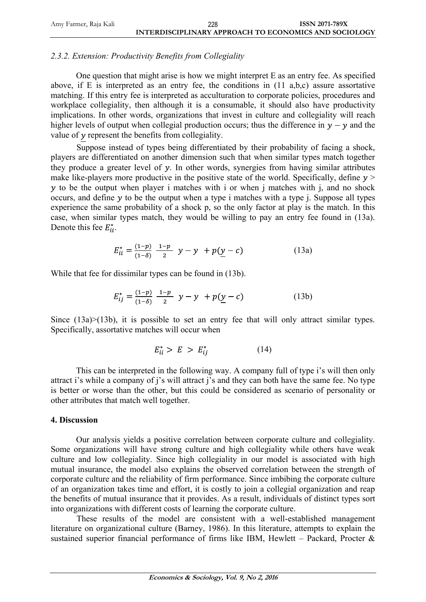| Amy Farmer, Raja Kali | 228                                                   | <b>ISSN 2071-789X</b> |
|-----------------------|-------------------------------------------------------|-----------------------|
|                       | INTERDISCIPLINARY APPROACH TO ECONOMICS AND SOCIOLOGY |                       |

#### *2.3.2. Extension: Productivity Benefits from Collegiality*

One question that might arise is how we might interpret E as an entry fee. As specified above, if E is interpreted as an entry fee, the conditions in (11 a,b,c) assure assortative matching. If this entry fee is interpreted as acculturation to corporate policies, procedures and workplace collegiality, then although it is a consumable, it should also have productivity implications. In other words, organizations that invest in culture and collegiality will reach higher levels of output when collegial production occurs; thus the difference in  $y - y$  and the value of  $y$  represent the benefits from collegiality.

Suppose instead of types being differentiated by their probability of facing a shock, players are differentiated on another dimension such that when similar types match together they produce a greater level of  $y$ . In other words, synergies from having similar attributes make like-players more productive in the positive state of the world. Specifically, define  $y >$  $y$  to be the output when player i matches with i or when j matches with j, and no shock occurs, and define  $y$  to be the output when a type i matches with a type j. Suppose all types experience the same probability of a shock p, so the only factor at play is the match. In this case, when similar types match, they would be willing to pay an entry fee found in (13a). Denote this fee  $E_{ii}^*$ .

$$
E_{ii}^* = \frac{(1-p)}{(1-\delta)} \frac{1-p}{2} \quad y-y \quad + p(\underline{y}-c) \tag{13a}
$$

While that fee for dissimilar types can be found in (13b).

$$
E_{ij}^* = \frac{(1-p)}{(1-\delta)} \frac{1-p}{2} \quad y-y \quad + p(\underline{y}-c) \tag{13b}
$$

Since (13a)>(13b), it is possible to set an entry fee that will only attract similar types. Specifically, assortative matches will occur when

$$
E_{ii}^* > E > E_{ii}^* \tag{14}
$$

This can be interpreted in the following way. A company full of type i's will then only attract i's while a company of j's will attract j's and they can both have the same fee. No type is better or worse than the other, but this could be considered as scenario of personality or other attributes that match well together.

#### **4. Discussion**

Our analysis yields a positive correlation between corporate culture and collegiality. Some organizations will have strong culture and high collegiality while others have weak culture and low collegiality. Since high collegiality in our model is associated with high mutual insurance, the model also explains the observed correlation between the strength of corporate culture and the reliability of firm performance. Since imbibing the corporate culture of an organization takes time and effort, it is costly to join a collegial organization and reap the benefits of mutual insurance that it provides. As a result, individuals of distinct types sort into organizations with different costs of learning the corporate culture.

These results of the model are consistent with a well-established management literature on organizational culture (Barney, 1986). In this literature, attempts to explain the sustained superior financial performance of firms like IBM, Hewlett – Packard, Procter  $\&$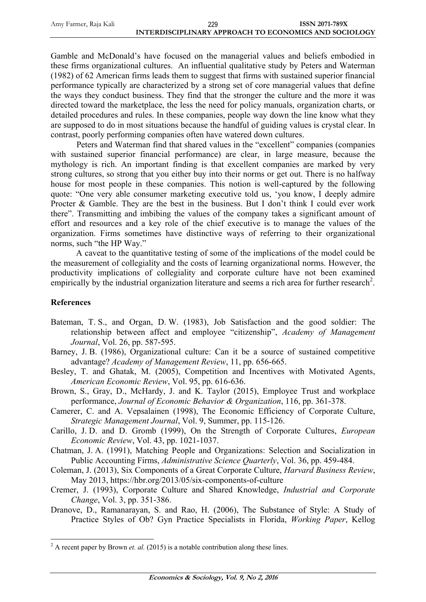| Amy Farmer, Raja Kali | 229                                                   | <b>ISSN 2071-789X</b> |
|-----------------------|-------------------------------------------------------|-----------------------|
|                       | INTERDISCIPLINARY APPROACH TO ECONOMICS AND SOCIOLOGY |                       |

Gamble and McDonald"s have focused on the managerial values and beliefs embodied in these firms organizational cultures. An influential qualitative study by Peters and Waterman (1982) of 62 American firms leads them to suggest that firms with sustained superior financial performance typically are characterized by a strong set of core managerial values that define the ways they conduct business. They find that the stronger the culture and the more it was directed toward the marketplace, the less the need for policy manuals, organization charts, or detailed procedures and rules. In these companies, people way down the line know what they are supposed to do in most situations because the handful of guiding values is crystal clear. In contrast, poorly performing companies often have watered down cultures.

Peters and Waterman find that shared values in the "excellent" companies (companies with sustained superior financial performance) are clear, in large measure, because the mythology is rich. An important finding is that excellent companies are marked by very strong cultures, so strong that you either buy into their norms or get out. There is no halfway house for most people in these companies. This notion is well-captured by the following quote: "One very able consumer marketing executive told us, "you know, I deeply admire Procter & Gamble. They are the best in the business. But I don't think I could ever work there". Transmitting and imbibing the values of the company takes a significant amount of effort and resources and a key role of the chief executive is to manage the values of the organization. Firms sometimes have distinctive ways of referring to their organizational norms, such "the HP Way."

A caveat to the quantitative testing of some of the implications of the model could be the measurement of collegiality and the costs of learning organizational norms. However, the productivity implications of collegiality and corporate culture have not been examined empirically by the industrial organization literature and seems a rich area for further research<sup>2</sup>.

## **References**

<u>.</u>

- Bateman, T. S., and Organ, D. W. (1983), Job Satisfaction and the good soldier: The relationship between affect and employee "citizenship", *Academy of Management Journal*, Vol. 26, pp. 587-595.
- Barney, J. B. (1986), Organizational culture: Can it be a source of sustained competitive advantage? *Academy of Management Review*, 11, pp. 656-665.
- Besley, T. and Ghatak, M. (2005), Competition and Incentives with Motivated Agents, *American Economic Review*, Vol. 95, pp. 616-636.
- Brown, S., Gray, D., McHardy, J. and K. Taylor (2015), Employee Trust and workplace performance, *Journal of Economic Behavior & Organization*, 116, pp. 361-378.
- Camerer, C. and A. Vepsalainen (1998), The Economic Efficiency of Corporate Culture, *Strategic Management Journal*, Vol. 9, Summer, pp. 115-126.
- Carillo, J. D. and D. Gromb (1999), On the Strength of Corporate Cultures, *European Economic Review*, Vol. 43, pp. 1021-1037.
- Chatman, J. A. (1991), Matching People and Organizations: Selection and Socialization in Public Accounting Firms, *Administrative Science Quarterly*, Vol. 36, pp. 459-484.
- Coleman, J. (2013), Six Components of a Great Corporate Culture, *Harvard Business Review*, May 2013, <https://hbr.org/2013/05/six-components-of-culture>
- Cremer, J. (1993), Corporate Culture and Shared Knowledge, *Industrial and Corporate Change*, Vol. 3, pp. 351-386.
- Dranove, D., Ramanarayan, S. and Rao, H. (2006), The Substance of Style: A Study of Practice Styles of Ob? Gyn Practice Specialists in Florida, *Working Paper*, Kellog

<sup>&</sup>lt;sup>2</sup> A recent paper by Brown *et. al.* (2015) is a notable contribution along these lines.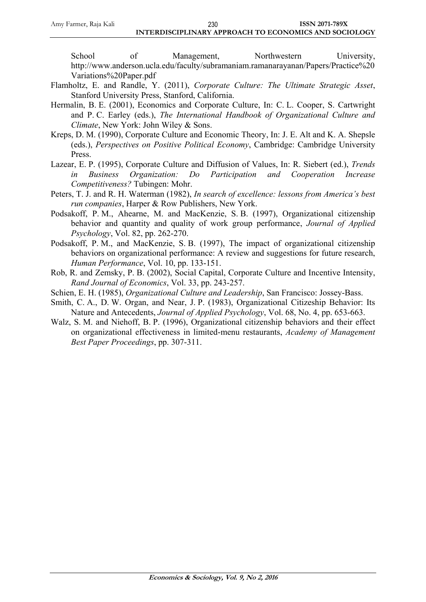School of Management, Northwestern University, [http://www.anderson.ucla.edu/faculty/subramaniam.ramanarayanan/Papers/Practice%20](http://www.anderson.ucla.edu/faculty/subramaniam.ramanarayanan/Papers/Practice%20Variations%20Paper.pdf) [Variations%20Paper.pdf](http://www.anderson.ucla.edu/faculty/subramaniam.ramanarayanan/Papers/Practice%20Variations%20Paper.pdf)

- Flamholtz, E. and Randle, Y. (2011), *Corporate Culture: The Ultimate Strategic Asset*, Stanford University Press, Stanford, California.
- Hermalin, B. E. (2001), Economics and Corporate Culture, In: C. L. Cooper, S. Cartwright and P. C. Earley (eds.), *The International Handbook of Organizational Culture and Climate*, New York: John Wiley & Sons.
- Kreps, D. M. (1990), Corporate Culture and Economic Theory, In: J. E. Alt and K. A. Shepsle (eds.), *Perspectives on Positive Political Economy*, Cambridge: Cambridge University Press.
- Lazear, E. P. (1995), Corporate Culture and Diffusion of Values, In: R. Siebert (ed.), *Trends in Business Organization: Do Participation and Cooperation Increase Competitiveness?* Tubingen: Mohr.
- Peters, T. J. and R. H. Waterman (1982), *In search of excellence: lessons from America's best run companies*, Harper & Row Publishers, New York.
- Podsakoff, P. M., Ahearne, M. and MacKenzie, S. B. (1997), Organizational citizenship behavior and quantity and quality of work group performance, *Journal of Applied Psychology*, Vol. 82, pp. 262-270.
- Podsakoff, P. M., and MacKenzie, S. B. (1997), The impact of organizational citizenship behaviors on organizational performance: A review and suggestions for future research, *Human Performance*, Vol. 10, pp. 133-151.
- Rob, R. and Zemsky, P. B. (2002), Social Capital, Corporate Culture and Incentive Intensity, *Rand Journal of Economics*, Vol. 33, pp. 243-257.
- Schien, E. H. (1985), *Organizational Culture and Leadership*, San Francisco: Jossey-Bass.
- Smith, C. A., D. W. Organ, and Near, J. P. (1983), Organizational Citizeship Behavior: Its Nature and Antecedents, *Journal of Applied Psychology*, Vol. 68, No. 4, pp. 653-663.
- Walz, S. M. and Niehoff, B. P. (1996), Organizational citizenship behaviors and their effect on organizational effectiveness in limited-menu restaurants, *Academy of Management Best Paper Proceedings*, pp. 307-311.